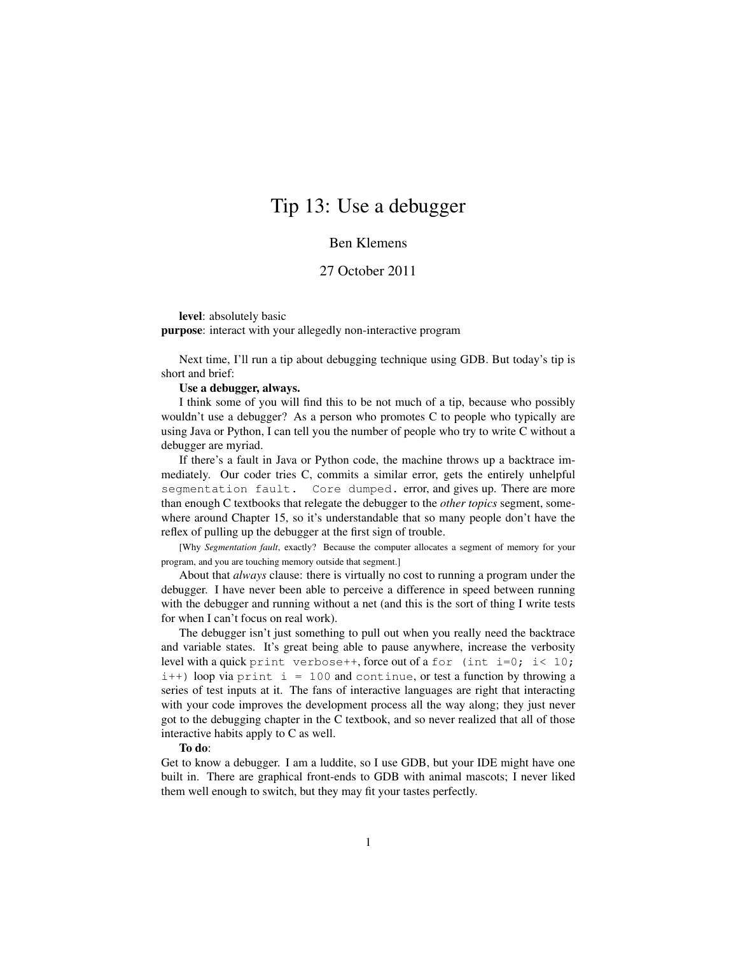## Tip 13: Use a debugger

## Ben Klemens

## 27 October 2011

level: absolutely basic

purpose: interact with your allegedly non-interactive program

Next time, I'll run a tip about debugging technique using GDB. But today's tip is short and brief:

## Use a debugger, always.

I think some of you will find this to be not much of a tip, because who possibly wouldn't use a debugger? As a person who promotes C to people who typically are using Java or Python, I can tell you the number of people who try to write C without a debugger are myriad.

If there's a fault in Java or Python code, the machine throws up a backtrace immediately. Our coder tries C, commits a similar error, gets the entirely unhelpful segmentation fault. Core dumped. error, and gives up. There are more than enough C textbooks that relegate the debugger to the *other topics* segment, somewhere around Chapter 15, so it's understandable that so many people don't have the reflex of pulling up the debugger at the first sign of trouble.

[Why *Segmentation fault*, exactly? Because the computer allocates a segment of memory for your program, and you are touching memory outside that segment.]

About that *always* clause: there is virtually no cost to running a program under the debugger. I have never been able to perceive a difference in speed between running with the debugger and running without a net (and this is the sort of thing I write tests for when I can't focus on real work).

The debugger isn't just something to pull out when you really need the backtrace and variable states. It's great being able to pause anywhere, increase the verbosity level with a quick print verbose++, force out of a for (int i=0; i< 10;  $i++$ ) loop via print  $i = 100$  and continue, or test a function by throwing a series of test inputs at it. The fans of interactive languages are right that interacting with your code improves the development process all the way along; they just never got to the debugging chapter in the C textbook, and so never realized that all of those interactive habits apply to C as well.

To do:

Get to know a debugger. I am a luddite, so I use GDB, but your IDE might have one built in. There are graphical front-ends to GDB with animal mascots; I never liked them well enough to switch, but they may fit your tastes perfectly.